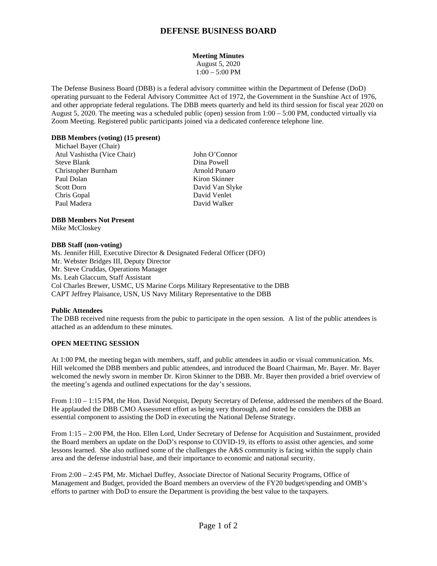# **DEFENSE BUSINESS BOARD**

# **Meeting Minutes**

August 5, 2020 1:00 – 5:00 PM

The Defense Business Board (DBB) is a federal advisory committee within the Department of Defense (DoD) operating pursuant to the Federal Advisory Committee Act of 1972, the Government in the Sunshine Act of 1976, and other appropriate federal regulations. The DBB meets quarterly and held its third session for fiscal year 2020 on August 5, 2020. The meeting was a scheduled public (open) session from 1:00 – 5:00 PM, conducted virtually via Zoom Meeting. Registered public participants joined via a dedicated conference telephone line.

### **DBB Members (voting) (15 present)**

Michael Bayer (Chair) Atul Vashistha (Vice Chair) John O'Connor Steve Blank Dina Powell Christopher Burnham Arnold Punaro Paul Dolan Kiron Skinner Scott Dorn David Van Slyke Chris Gopal David Venlet Paul Madera David Walker

# **DBB Members Not Present**

Mike McCloskey

#### **DBB Staff (non-voting)**

Ms. Jennifer Hill, Executive Director & Designated Federal Officer (DFO) Mr. Webster Bridges III, Deputy Director Mr. Steve Cruddas, Operations Manager Ms. Leah Glaccum, Staff Assistant Col Charles Brewer, USMC, US Marine Corps Military Representative to the DBB CAPT Jeffrey Plaisance, USN, US Navy Military Representative to the DBB

# **Public Attendees**

The DBB received nine requests from the pubic to participate in the open session. A list of the public attendees is attached as an addendum to these minutes.

# **OPEN MEETING SESSION**

At 1:00 PM, the meeting began with members, staff, and public attendees in audio or visual communication. Ms. Hill welcomed the DBB members and public attendees, and introduced the Board Chairman, Mr. Bayer. Mr. Bayer welcomed the newly sworn in member Dr. Kiron Skinner to the DBB. Mr. Bayer then provided a brief overview of the meeting's agenda and outlined expectations for the day's sessions.

From 1:10 – 1:15 PM, the Hon. David Norquist, Deputy Secretary of Defense, addressed the members of the Board. He applauded the DBB CMO Assessment effort as being very thorough, and noted he considers the DBB an essential component to assisting the DoD in executing the National Defense Strategy.

From 1:15 – 2:00 PM, the Hon. Ellen Lord, Under Secretary of Defense for Acquisition and Sustainment, provided the Board members an update on the DoD's response to COVID-19, its efforts to assist other agencies, and some lessons learned. She also outlined some of the challenges the A&S community is facing within the supply chain area and the defense industrial base, and their importance to economic and national security.

From 2:00 – 2:45 PM, Mr. Michael Duffey, Associate Director of National Security Programs, Office of Management and Budget, provided the Board members an overview of the FY20 budget/spending and OMB's efforts to partner with DoD to ensure the Department is providing the best value to the taxpayers.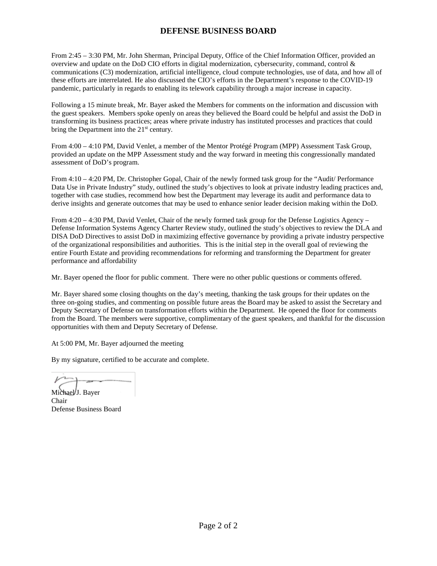# **DEFENSE BUSINESS BOARD**

From 2:45 – 3:30 PM, Mr. John Sherman, Principal Deputy, Office of the Chief Information Officer, provided an overview and update on the DoD CIO efforts in digital modernization, cybersecurity, command, control & communications (C3) modernization, artificial intelligence, cloud compute technologies, use of data, and how all of these efforts are interrelated. He also discussed the CIO's efforts in the Department's response to the COVID-19 pandemic, particularly in regards to enabling its telework capability through a major increase in capacity.

Following a 15 minute break, Mr. Bayer asked the Members for comments on the information and discussion with the guest speakers. Members spoke openly on areas they believed the Board could be helpful and assist the DoD in transforming its business practices; areas where private industry has instituted processes and practices that could bring the Department into the 21<sup>st</sup> century.

From 4:00 – 4:10 PM, David Venlet, a member of the Mentor Protégé Program (MPP) Assessment Task Group, provided an update on the MPP Assessment study and the way forward in meeting this congressionally mandated assessment of DoD's program.

From 4:10 – 4:20 PM, Dr. Christopher Gopal, Chair of the newly formed task group for the "Audit/ Performance Data Use in Private Industry" study, outlined the study's objectives to look at private industry leading practices and, together with case studies, recommend how best the Department may leverage its audit and performance data to derive insights and generate outcomes that may be used to enhance senior leader decision making within the DoD.

From 4:20 – 4:30 PM, David Venlet, Chair of the newly formed task group for the Defense Logistics Agency – Defense Information Systems Agency Charter Review study, outlined the study's objectives to review the DLA and DISA DoD Directives to assist DoD in maximizing effective governance by providing a private industry perspective of the organizational responsibilities and authorities. This is the initial step in the overall goal of reviewing the entire Fourth Estate and providing recommendations for reforming and transforming the Department for greater performance and affordability

Mr. Bayer opened the floor for public comment. There were no other public questions or comments offered.

Mr. Bayer shared some closing thoughts on the day's meeting, thanking the task groups for their updates on the three on-going studies, and commenting on possible future areas the Board may be asked to assist the Secretary and Deputy Secretary of Defense on transformation efforts within the Department. He opened the floor for comments from the Board. The members were supportive, complimentary of the guest speakers, and thankful for the discussion opportunities with them and Deputy Secretary of Defense.

At 5:00 PM, Mr. Bayer adjourned the meeting

By my signature, certified to be accurate and complete.

Michael J. Bayer Chair Defense Business Board